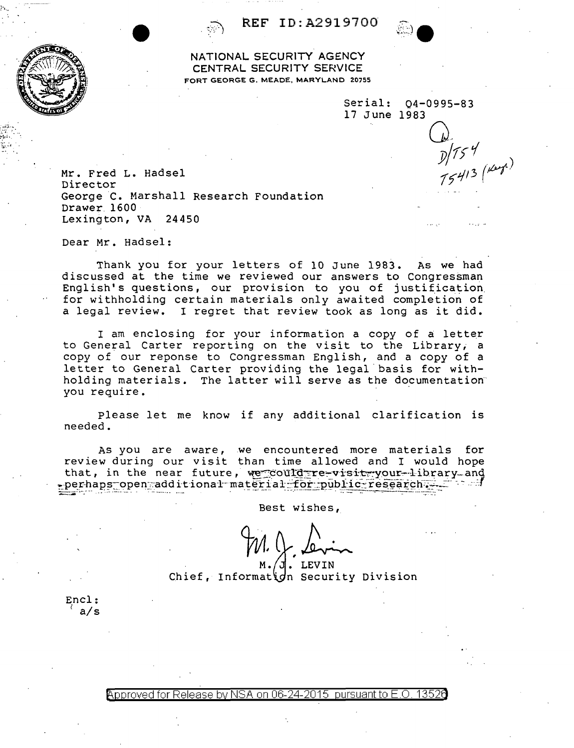REF ID: A2919700

NATIONAL SECURITY AGENCY CENTRAL SECURITY SERVICE FORT GEORGE G. MEADE, MARYLAND 20755

Serial: 04-0995-83 17 June 1983

 $\frac{1}{2}$   $\frac{1}{5}$   $\frac{1}{15}$   $\frac{1}{15}$   $\frac{1}{15}$   $\frac{1}{15}$ 

Mr. Fred L. Hadsel Director George C. Marshall Research Foundation Drawer 1600 Lexington, VA 24450

Dear Mr. Hadsel:

Thank you for your letters of 10 June 1983. As we had discussed at the time we reviewed our answers to Congressman English's questions, our provision to you of justification for withholding certain materials only awaited completion of a legal review. I regret that review took as long as it did.

I am enclosing for your information a copy of a letter to General Carter reporting on the visit to the Library, a copy of our reponse to Congressman English, and a copy of a letter to General Carter providing the legal basis for withholding materials. The latter will serve as the documentation you require.

Please let me know if any additional clarification is needed.

As you are aware, we encountered more materials for review during our visit than time allowed and I would hope that, in the near future, we could re-visiteyour-library and perhaps open additional material for public research. - 4

Best wishes,

LEVIN Chief, Information Security Division

Encl: a/s

Approved for Release by NSA on 06-24-2015 pursuant to E.O. 13520